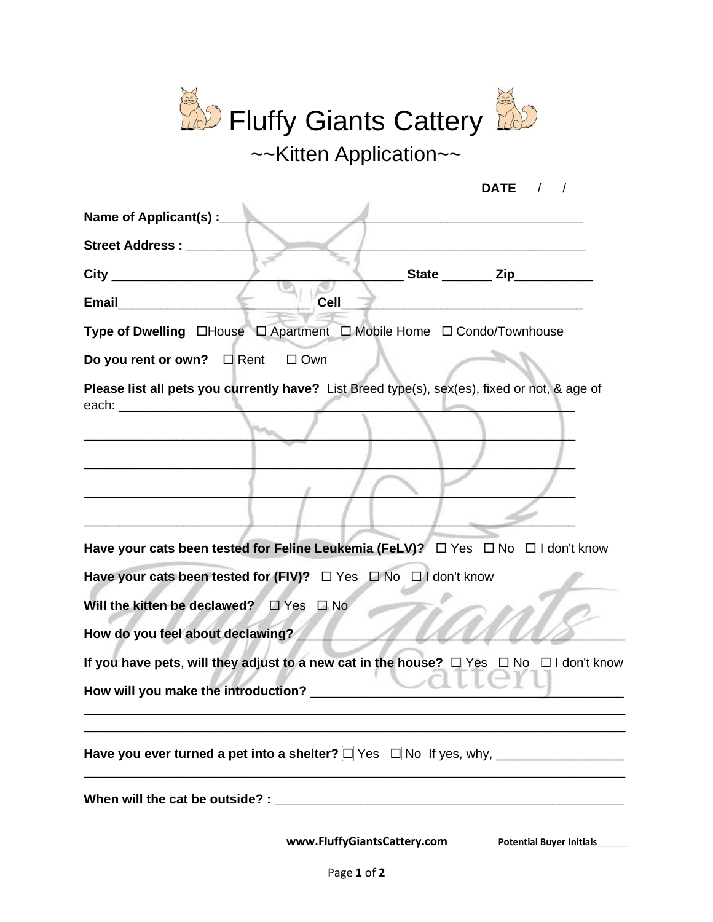| <b>D</b> Fluffy Giants Cattery                                                                                                                                                                                                 |
|--------------------------------------------------------------------------------------------------------------------------------------------------------------------------------------------------------------------------------|
| ~~Kitten Application~~                                                                                                                                                                                                         |
| DATE $/$ /                                                                                                                                                                                                                     |
| Name of Applicant(s) :__                                                                                                                                                                                                       |
| <b>Street Address:</b>                                                                                                                                                                                                         |
| State <b>Zip</b><br>$City$ <sub>—</sub>                                                                                                                                                                                        |
| <b>Email</b><br><b>Cell</b>                                                                                                                                                                                                    |
| Type of Dwelling □House □ Apartment □ Mobile Home □ Condo/Townhouse                                                                                                                                                            |
| Do you rent or own? $\Box$ Rent $\Box$ Own                                                                                                                                                                                     |
| Please list all pets you currently have? List Breed type(s), sex(es), fixed or not, & age of<br>each: when the contract of the contract of the contract of the contract of the contract of the contract of the                 |
|                                                                                                                                                                                                                                |
| Have your cats been tested for Feline Leukemia (FeLV)? □ Yes □ No □ I don't know                                                                                                                                               |
| Have your cats been tested for (FIV)? $\Box$ Yes $\Box$ No $\Box$ I don't know                                                                                                                                                 |
| Will the kitten be declawed?<br>$\square$ Yes<br>$\Box$ No                                                                                                                                                                     |
| How do you feel about declawing?                                                                                                                                                                                               |
| If you have pets, will they adjust to a new cat in the house? $\Box$ Yes $\Box$ No $\Box$ I don't know<br>$\lfloor$ ( $\rightarrow$ )<br>How will you make the introduction?                                                   |
|                                                                                                                                                                                                                                |
| When will the cat be outside? : Notified that the control of the control of the control of the control of the control of the control of the control of the control of the control of the control of the control of the control |
| www.FluffyGiantsCattery.com<br><b>Potential Buyer Initials</b>                                                                                                                                                                 |